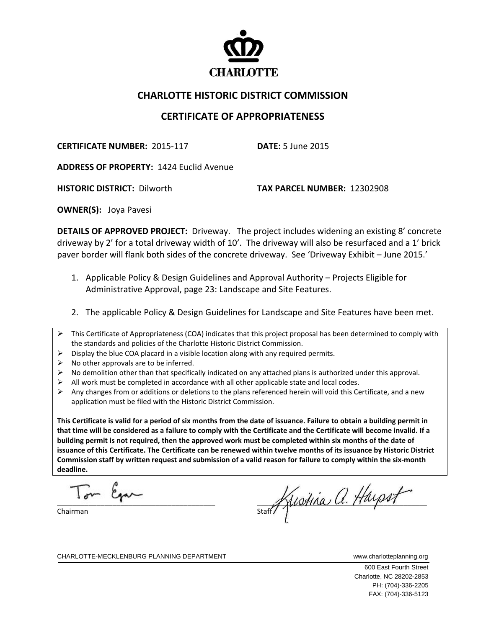

## **CHARLOTTE HISTORIC DISTRICT COMMISSION**

## **CERTIFICATE OF APPROPRIATENESS**

**CERTIFICATE NUMBER:** 2015‐117 **DATE:** 5 June 2015

**ADDRESS OF PROPERTY:** 1424 Euclid Avenue

**HISTORIC DISTRICT:** Dilworth **TAX PARCEL NUMBER:** 12302908

**OWNER(S):** Joya Pavesi

**DETAILS OF APPROVED PROJECT:** Driveway. The project includes widening an existing 8' concrete driveway by 2' for a total driveway width of 10'. The driveway will also be resurfaced and a 1' brick paver border will flank both sides of the concrete driveway. See 'Driveway Exhibit – June 2015.'

- 1. Applicable Policy & Design Guidelines and Approval Authority Projects Eligible for Administrative Approval, page 23: Landscape and Site Features.
- 2. The applicable Policy & Design Guidelines for Landscape and Site Features have been met.
- $\triangleright$  This Certificate of Appropriateness (COA) indicates that this project proposal has been determined to comply with the standards and policies of the Charlotte Historic District Commission.
- $\triangleright$  Display the blue COA placard in a visible location along with any required permits.
- $\triangleright$  No other approvals are to be inferred.
- $\triangleright$  No demolition other than that specifically indicated on any attached plans is authorized under this approval.
- $\triangleright$  All work must be completed in accordance with all other applicable state and local codes.
- $\triangleright$  Any changes from or additions or deletions to the plans referenced herein will void this Certificate, and a new application must be filed with the Historic District Commission.

This Certificate is valid for a period of six months from the date of issuance. Failure to obtain a building permit in that time will be considered as a failure to comply with the Certificate and the Certificate will become invalid. If a building permit is not required, then the approved work must be completed within six months of the date of issuance of this Certificate. The Certificate can be renewed within twelve months of its issuance by Historic District Commission staff by written request and submission of a valid reason for failure to comply within the six-month **deadline.**

 $\overline{\phantom{a}}$ I we can

Chairman

statif Kustina a. Hayset

CHARLOTTE-MECKLENBURG PLANNING DEPARTMENT WWW.charlotteplanning.org

 600 East Fourth Street Charlotte, NC 28202-2853 PH: (704)-336-2205 FAX: (704)-336-5123